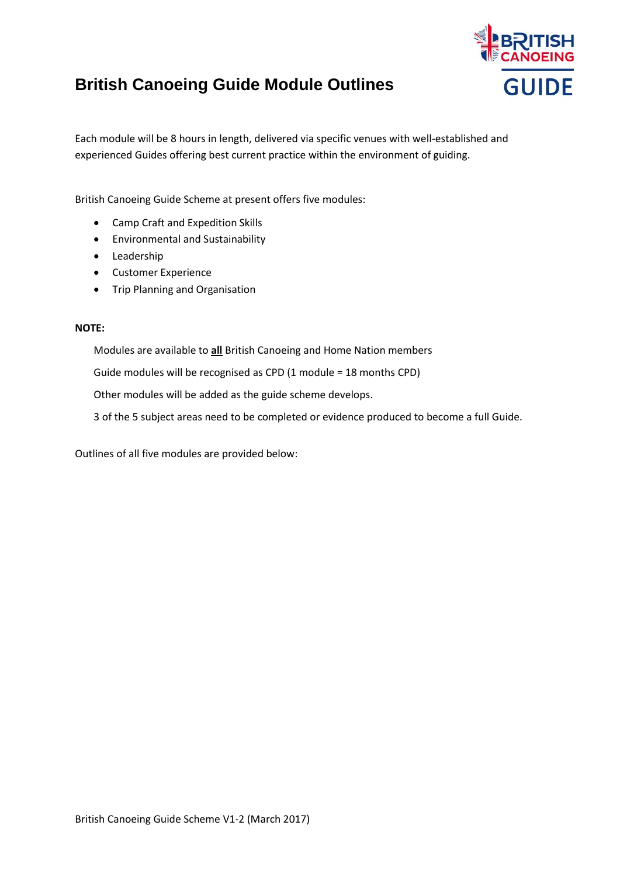## **British Canoeing Guide Module Outlines**



Each module will be 8 hours in length, delivered via specific venues with well-established and experienced Guides offering best current practice within the environment of guiding.

British Canoeing Guide Scheme at present offers five modules:

- Camp Craft and Expedition Skills
- Environmental and Sustainability
- **•** Leadership
- Customer Experience
- Trip Planning and Organisation

#### **NOTE:**

Modules are available to **all** British Canoeing and Home Nation members

Guide modules will be recognised as CPD (1 module = 18 months CPD)

Other modules will be added as the guide scheme develops.

3 of the 5 subject areas need to be completed or evidence produced to become a full Guide.

Outlines of all five modules are provided below: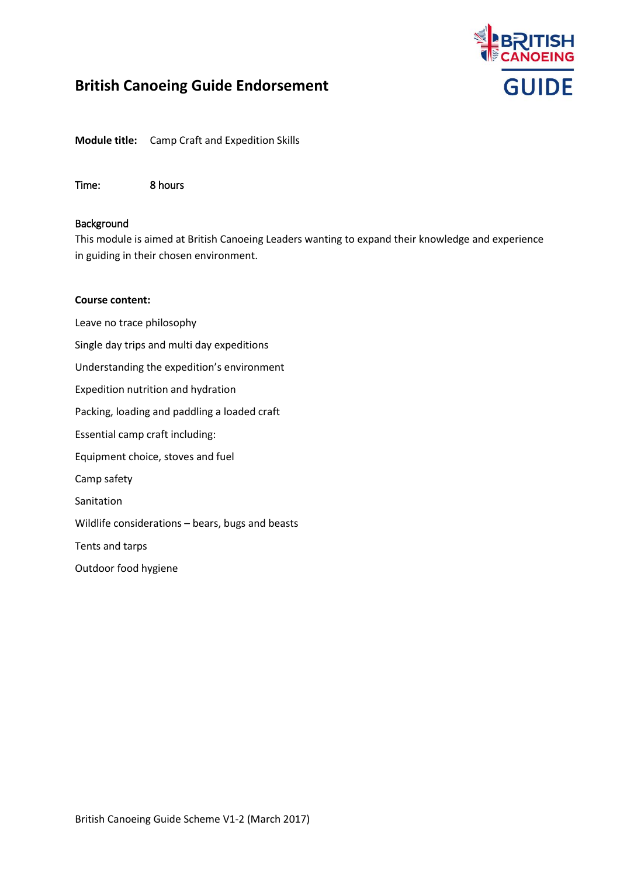

**Module title:** Camp Craft and Expedition Skills

Time: 8 hours

#### Background

This module is aimed at British Canoeing Leaders wanting to expand their knowledge and experience in guiding in their chosen environment.

#### **Course content:**

Leave no trace philosophy Single day trips and multi day expeditions Understanding the expedition's environment Expedition nutrition and hydration Packing, loading and paddling a loaded craft Essential camp craft including: Equipment choice, stoves and fuel Camp safety Sanitation Wildlife considerations – bears, bugs and beasts Tents and tarps Outdoor food hygiene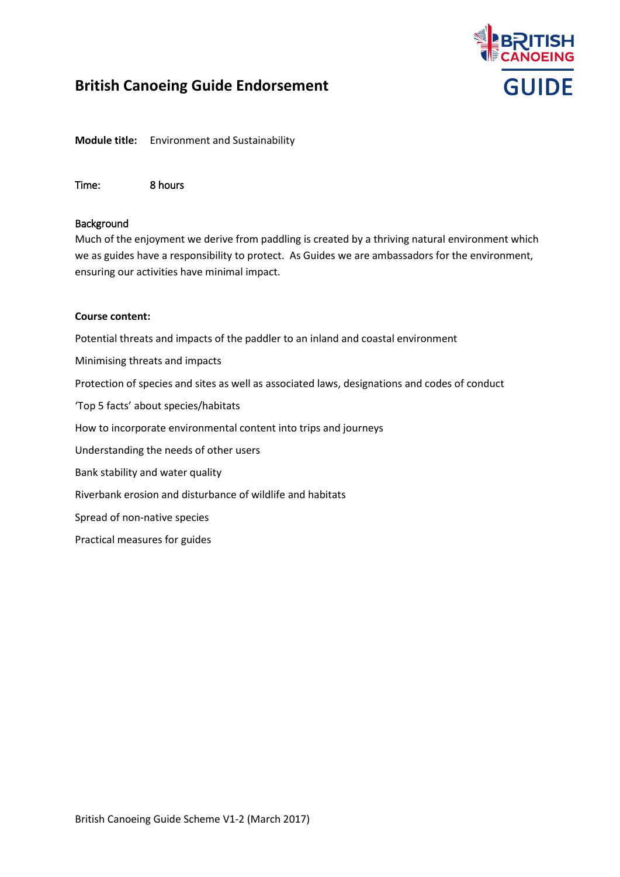# **GUIDE**

## **British Canoeing Guide Endorsement**

**Module title:** Environment and Sustainability

Time: 8 hours

#### Background

Much of the enjoyment we derive from paddling is created by a thriving natural environment which we as guides have a responsibility to protect. As Guides we are ambassadors for the environment, ensuring our activities have minimal impact.

#### **Course content:**

Potential threats and impacts of the paddler to an inland and coastal environment

Minimising threats and impacts

Protection of species and sites as well as associated laws, designations and codes of conduct

'Top 5 facts' about species/habitats

How to incorporate environmental content into trips and journeys

Understanding the needs of other users

Bank stability and water quality

Riverbank erosion and disturbance of wildlife and habitats

Spread of non-native species

Practical measures for guides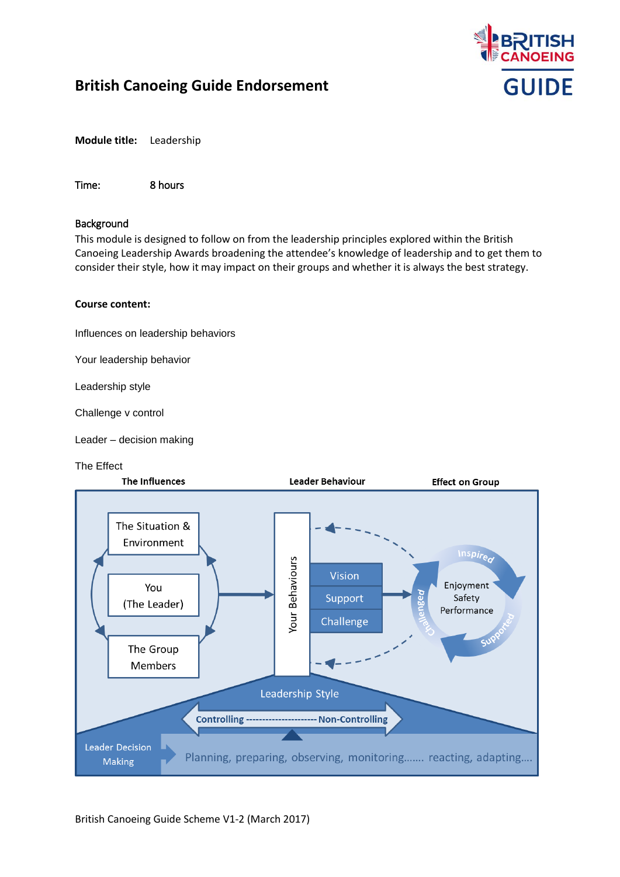

**Module title:** Leadership

Time: 8 hours

#### Background

This module is designed to follow on from the leadership principles explored within the British Canoeing Leadership Awards broadening the attendee's knowledge of leadership and to get them to consider their style, how it may impact on their groups and whether it is always the best strategy.

#### **Course content:**

Influences on leadership behaviors

Your leadership behavior

Leadership style

Challenge v control

Leader – decision making

#### The Effect

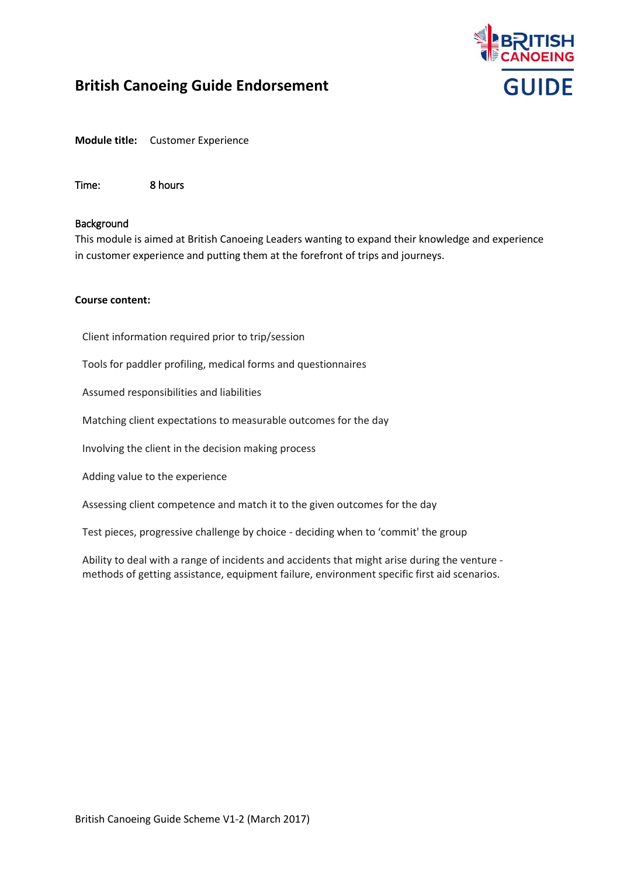

**Module title:** Customer Experience

Time: 8 hours

#### Background

This module is aimed at British Canoeing Leaders wanting to expand their knowledge and experience in customer experience and putting them at the forefront of trips and journeys.

#### **Course content:**

Client information required prior to trip/session

Tools for paddler profiling, medical forms and questionnaires

Assumed responsibilities and liabilities

Matching client expectations to measurable outcomes for the day

Involving the client in the decision making process

Adding value to the experience

Assessing client competence and match it to the given outcomes for the day

Test pieces, progressive challenge by choice - deciding when to 'commit' the group

Ability to deal with a range of incidents and accidents that might arise during the venture methods of getting assistance, equipment failure, environment specific first aid scenarios.